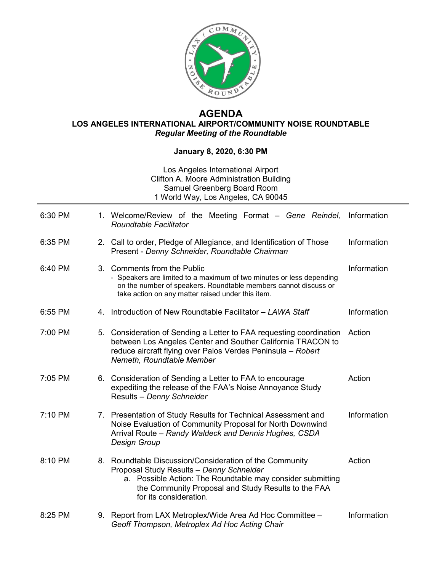

## **AGENDA LOS ANGELES INTERNATIONAL AIRPORT/COMMUNITY NOISE ROUNDTABLE** *Regular Meeting of the Roundtable*

## **January 8, 2020, 6:30 PM**

## Los Angeles International Airport Clifton A. Moore Administration Building Samuel Greenberg Board Room 1 World Way, Los Angeles, CA 90045

| 6:30 PM | 1. Welcome/Review of the Meeting Format – Gene Reindel,<br><b>Roundtable Facilitator</b>                                                                                                                                                           | Information |
|---------|----------------------------------------------------------------------------------------------------------------------------------------------------------------------------------------------------------------------------------------------------|-------------|
| 6:35 PM | 2. Call to order, Pledge of Allegiance, and Identification of Those<br>Present - Denny Schneider, Roundtable Chairman                                                                                                                              | Information |
| 6:40 PM | 3. Comments from the Public<br>- Speakers are limited to a maximum of two minutes or less depending<br>on the number of speakers. Roundtable members cannot discuss or<br>take action on any matter raised under this item.                        | Information |
| 6:55 PM | 4. Introduction of New Roundtable Facilitator - LAWA Staff                                                                                                                                                                                         | Information |
| 7:00 PM | 5. Consideration of Sending a Letter to FAA requesting coordination<br>between Los Angeles Center and Souther California TRACON to<br>reduce aircraft flying over Palos Verdes Peninsula - Robert<br>Nemeth, Roundtable Member                     | Action      |
| 7:05 PM | 6. Consideration of Sending a Letter to FAA to encourage<br>expediting the release of the FAA's Noise Annoyance Study<br>Results - Denny Schneider                                                                                                 | Action      |
| 7:10 PM | 7. Presentation of Study Results for Technical Assessment and<br>Noise Evaluation of Community Proposal for North Downwind<br>Arrival Route - Randy Waldeck and Dennis Hughes, CSDA<br><b>Design Group</b>                                         | Information |
| 8:10 PM | 8. Roundtable Discussion/Consideration of the Community<br>Proposal Study Results - Denny Schneider<br>a. Possible Action: The Roundtable may consider submitting<br>the Community Proposal and Study Results to the FAA<br>for its consideration. | Action      |
| 8:25 PM | 9. Report from LAX Metroplex/Wide Area Ad Hoc Committee -<br>Geoff Thompson, Metroplex Ad Hoc Acting Chair                                                                                                                                         | Information |